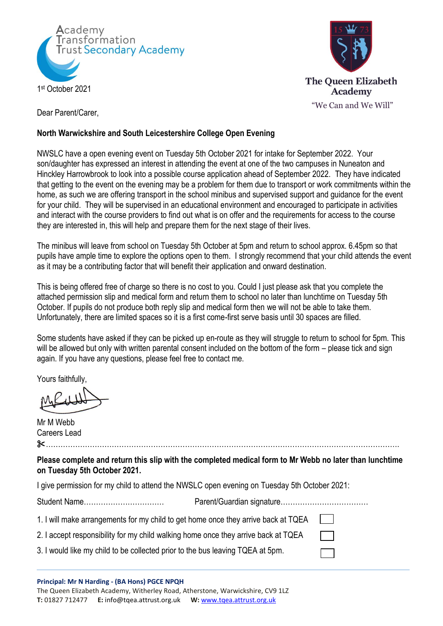



Dear Parent/Carer,

## **North Warwickshire and South Leicestershire College Open Evening**

NWSLC have a open evening event on Tuesday 5th October 2021 for intake for September 2022. Your son/daughter has expressed an interest in attending the event at one of the two campuses in Nuneaton and Hinckley Harrowbrook to look into a possible course application ahead of September 2022. They have indicated that getting to the event on the evening may be a problem for them due to transport or work commitments within the home, as such we are offering transport in the school minibus and supervised support and guidance for the event for your child. They will be supervised in an educational environment and encouraged to participate in activities and interact with the course providers to find out what is on offer and the requirements for access to the course they are interested in, this will help and prepare them for the next stage of their lives.

The minibus will leave from school on Tuesday 5th October at 5pm and return to school approx. 6.45pm so that pupils have ample time to explore the options open to them. I strongly recommend that your child attends the event as it may be a contributing factor that will benefit their application and onward destination.

This is being offered free of charge so there is no cost to you. Could I just please ask that you complete the attached permission slip and medical form and return them to school no later than lunchtime on Tuesday 5th October. If pupils do not produce both reply slip and medical form then we will not be able to take them. Unfortunately, there are limited spaces so it is a first come-first serve basis until 30 spaces are filled.

Some students have asked if they can be picked up en-route as they will struggle to return to school for 5pm. This will be allowed but only with written parental consent included on the bottom of the form – please tick and sign again. If you have any questions, please feel free to contact me.

Yours faithfully,

Mr M Webb Careers Lead ✂……………………………………………………………………………………………………………………………….

**Please complete and return this slip with the completed medical form to Mr Webb no later than lunchtime on Tuesday 5th October 2021.**

I give permission for my child to attend the NWSLC open evening on Tuesday 5th October 2021:

Student Name…………………………… Parent/Guardian signature………………………………

1. I will make arrangements for my child to get home once they arrive back at TQEA

2. I accept responsibility for my child walking home once they arrive back at TQEA

3. I would like my child to be collected prior to the bus leaving TQEA at 5pm.

**Principal: Mr N Harding - (BA Hons) PGCE NPQH** The Queen Elizabeth Academy, Witherley Road, Atherstone, Warwickshire, CV9 1LZ **T:** 01827 712477 **E:** [info@tqea.attrust.org.uk](mailto:info@tqea.attrust.org.uk) **W:** [www.tqea.attrust.org.uk](http://www.tqea.attrust.org.uk/)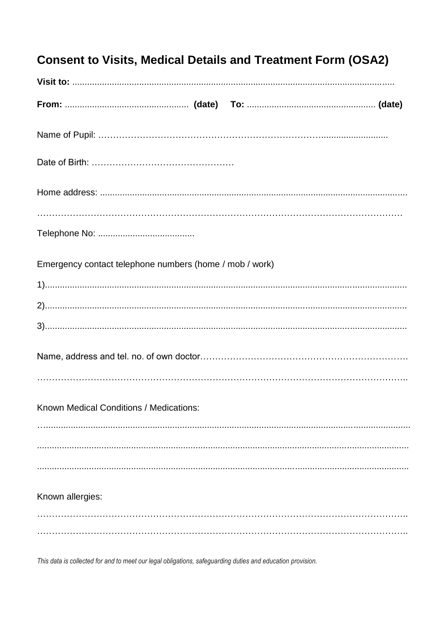| <b>Consent to Visits, Medical Details and Treatment Form (OSA2)</b> |  |
|---------------------------------------------------------------------|--|
|                                                                     |  |
|                                                                     |  |
|                                                                     |  |
|                                                                     |  |
|                                                                     |  |
|                                                                     |  |
| Emergency contact telephone numbers (home / mob / work)             |  |
|                                                                     |  |
|                                                                     |  |
|                                                                     |  |
|                                                                     |  |
| Known Medical Conditions / Medications:                             |  |
|                                                                     |  |
|                                                                     |  |
| Known allergies:                                                    |  |
|                                                                     |  |
|                                                                     |  |

This data is collected for and to meet our legal obligations, safeguarding duties and education provision.